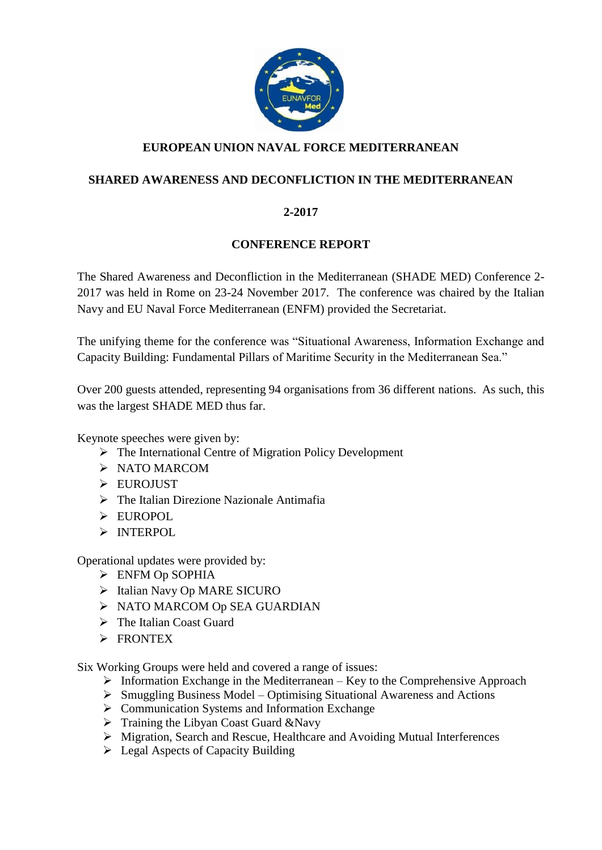

# **EUROPEAN UNION NAVAL FORCE MEDITERRANEAN**

### **SHARED AWARENESS AND DECONFLICTION IN THE MEDITERRANEAN**

### **2-2017**

### **CONFERENCE REPORT**

The Shared Awareness and Deconfliction in the Mediterranean (SHADE MED) Conference 2- 2017 was held in Rome on 23-24 November 2017. The conference was chaired by the Italian Navy and EU Naval Force Mediterranean (ENFM) provided the Secretariat.

The unifying theme for the conference was "Situational Awareness, Information Exchange and Capacity Building: Fundamental Pillars of Maritime Security in the Mediterranean Sea."

Over 200 guests attended, representing 94 organisations from 36 different nations. As such, this was the largest SHADE MED thus far.

Keynote speeches were given by:

- ➢ The International Centre of Migration Policy Development
- ➢ NATO MARCOM
- ➢ EUROJUST
- $\triangleright$  The Italian Direzione Nazionale Antimatia
- ➢ EUROPOL
- ➢ INTERPOL

Operational updates were provided by:

- ➢ ENFM Op SOPHIA
- ➢ Italian Navy Op MARE SICURO
- ➢ NATO MARCOM Op SEA GUARDIAN
- ➢ The Italian Coast Guard
- ➢ FRONTEX

Six Working Groups were held and covered a range of issues:

- $\triangleright$  Information Exchange in the Mediterranean Key to the Comprehensive Approach
- ➢ Smuggling Business Model Optimising Situational Awareness and Actions
- ➢ Communication Systems and Information Exchange
- $\triangleright$  Training the Libyan Coast Guard &Navy
- ➢ Migration, Search and Rescue, Healthcare and Avoiding Mutual Interferences
- ➢ Legal Aspects of Capacity Building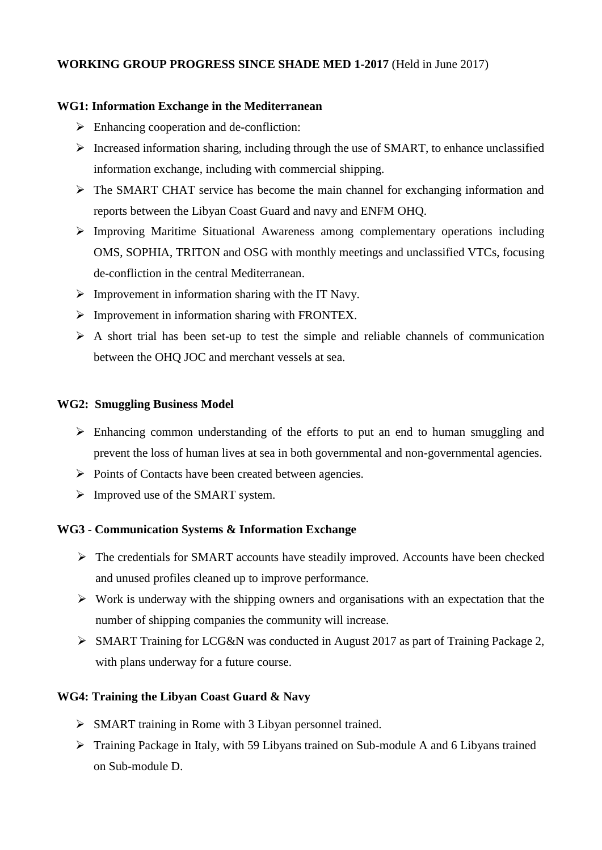### **WORKING GROUP PROGRESS SINCE SHADE MED 1-2017** (Held in June 2017)

#### **WG1: Information Exchange in the Mediterranean**

- $\triangleright$  Enhancing cooperation and de-confliction:
- $\triangleright$  Increased information sharing, including through the use of SMART, to enhance unclassified information exchange, including with commercial shipping.
- $\triangleright$  The SMART CHAT service has become the main channel for exchanging information and reports between the Libyan Coast Guard and navy and ENFM OHQ.
- ➢ Improving Maritime Situational Awareness among complementary operations including OMS, SOPHIA, TRITON and OSG with monthly meetings and unclassified VTCs, focusing de-confliction in the central Mediterranean.
- $\triangleright$  Improvement in information sharing with the IT Navy.
- $\triangleright$  Improvement in information sharing with FRONTEX.
- $\triangleright$  A short trial has been set-up to test the simple and reliable channels of communication between the OHQ JOC and merchant vessels at sea.

#### **WG2: Smuggling Business Model**

- ➢ Enhancing common understanding of the efforts to put an end to human smuggling and prevent the loss of human lives at sea in both governmental and non-governmental agencies.
- ➢ Points of Contacts have been created between agencies.
- $\triangleright$  Improved use of the SMART system.

### **WG3 - Communication Systems & Information Exchange**

- ➢ The credentials for SMART accounts have steadily improved. Accounts have been checked and unused profiles cleaned up to improve performance.
- ➢ Work is underway with the shipping owners and organisations with an expectation that the number of shipping companies the community will increase.
- ➢ SMART Training for LCG&N was conducted in August 2017 as part of Training Package 2, with plans underway for a future course.

### **WG4: Training the Libyan Coast Guard & Navy**

- ➢ SMART training in Rome with 3 Libyan personnel trained.
- ➢ Training Package in Italy, with 59 Libyans trained on Sub-module A and 6 Libyans trained on Sub-module D.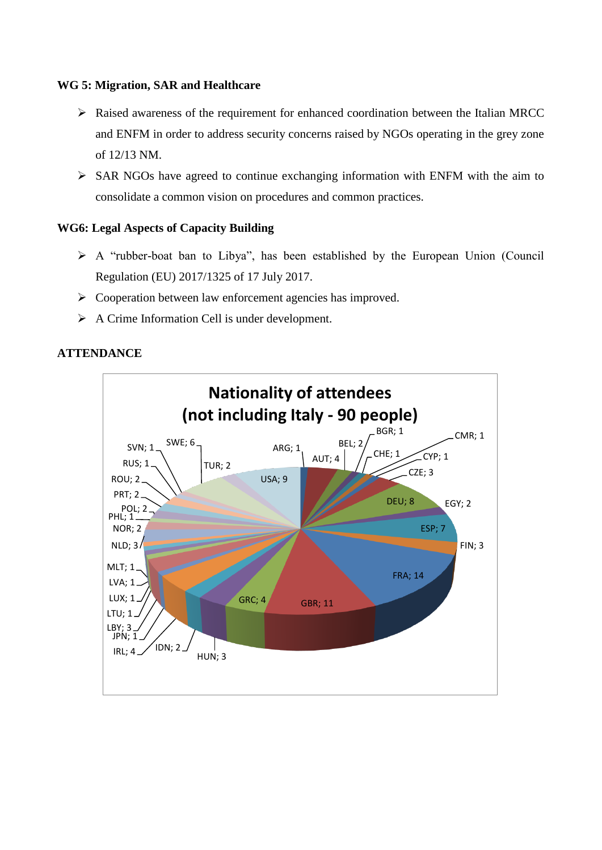#### **WG 5: Migration, SAR and Healthcare**

- ➢ Raised awareness of the requirement for enhanced coordination between the Italian MRCC and ENFM in order to address security concerns raised by NGOs operating in the grey zone of 12/13 NM.
- ➢ SAR NGOs have agreed to continue exchanging information with ENFM with the aim to consolidate a common vision on procedures and common practices.

### **WG6: Legal Aspects of Capacity Building**

- ➢ A "rubber-boat ban to Libya", has been established by the European Union (Council Regulation (EU) 2017/1325 of 17 July 2017.
- ➢ Cooperation between law enforcement agencies has improved.
- ➢ A Crime Information Cell is under development.

### **ATTENDANCE**

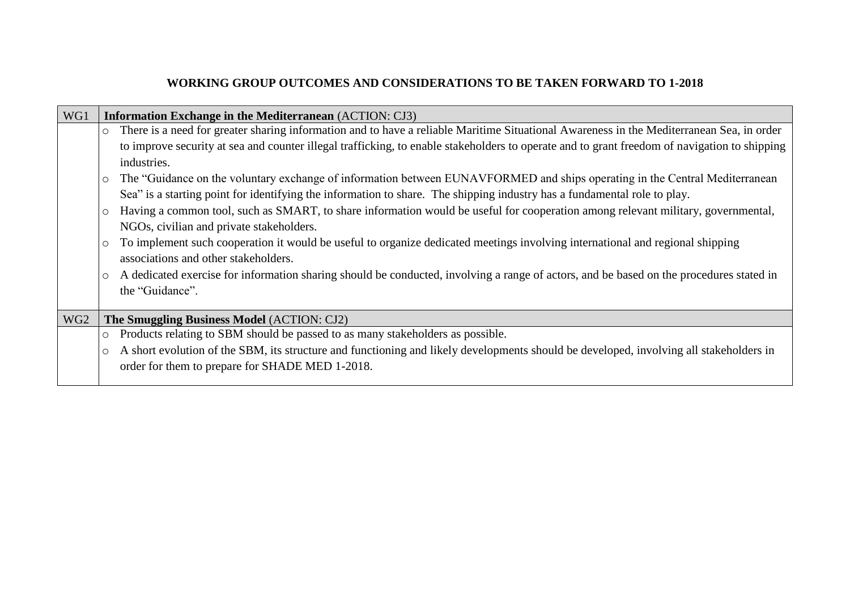## **WORKING GROUP OUTCOMES AND CONSIDERATIONS TO BE TAKEN FORWARD TO 1-2018**

| WG1             | <b>Information Exchange in the Mediterranean (ACTION: CJ3)</b>                                                                                      |  |  |
|-----------------|-----------------------------------------------------------------------------------------------------------------------------------------------------|--|--|
|                 | There is a need for greater sharing information and to have a reliable Maritime Situational Awareness in the Mediterranean Sea, in order<br>$\circ$ |  |  |
|                 | to improve security at sea and counter illegal trafficking, to enable stakeholders to operate and to grant freedom of navigation to shipping        |  |  |
|                 | industries.                                                                                                                                         |  |  |
|                 | The "Guidance on the voluntary exchange of information between EUNAVFORMED and ships operating in the Central Mediterranean<br>$\circ$              |  |  |
|                 | Sea" is a starting point for identifying the information to share. The shipping industry has a fundamental role to play.                            |  |  |
|                 | Having a common tool, such as SMART, to share information would be useful for cooperation among relevant military, governmental,<br>$\circ$         |  |  |
|                 | NGOs, civilian and private stakeholders.                                                                                                            |  |  |
|                 | To implement such cooperation it would be useful to organize dedicated meetings involving international and regional shipping<br>$\circ$            |  |  |
|                 | associations and other stakeholders.                                                                                                                |  |  |
|                 | A dedicated exercise for information sharing should be conducted, involving a range of actors, and be based on the procedures stated in<br>$\circ$  |  |  |
|                 | the "Guidance".                                                                                                                                     |  |  |
|                 |                                                                                                                                                     |  |  |
| WG <sub>2</sub> | The Smuggling Business Model (ACTION: CJ2)                                                                                                          |  |  |
|                 | Products relating to SBM should be passed to as many stakeholders as possible.<br>$\circ$                                                           |  |  |
|                 | A short evolution of the SBM, its structure and functioning and likely developments should be developed, involving all stakeholders in<br>$\circ$   |  |  |
|                 | order for them to prepare for SHADE MED 1-2018.                                                                                                     |  |  |
|                 |                                                                                                                                                     |  |  |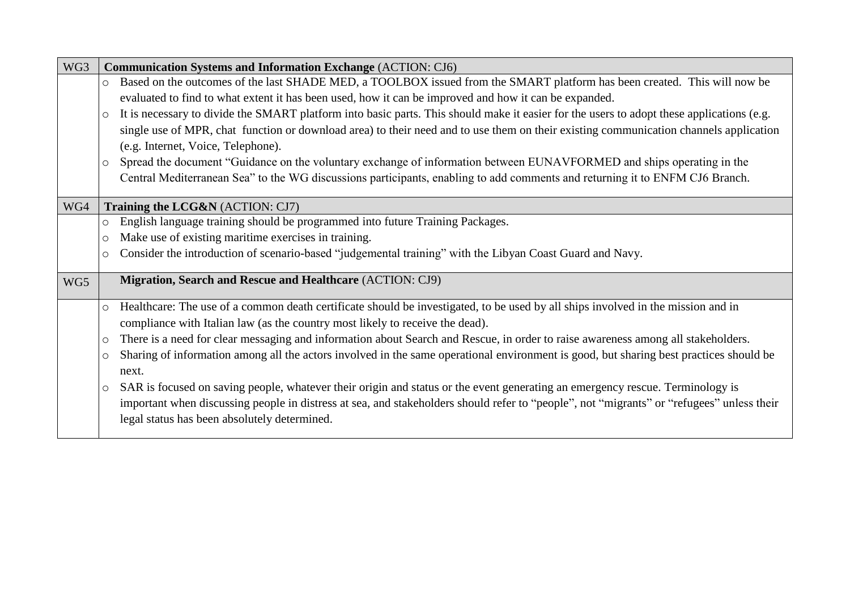| WG3 | <b>Communication Systems and Information Exchange (ACTION: CJ6)</b>                                                                                  |
|-----|------------------------------------------------------------------------------------------------------------------------------------------------------|
|     | Based on the outcomes of the last SHADE MED, a TOOLBOX issued from the SMART platform has been created. This will now be<br>$\circ$                  |
|     | evaluated to find to what extent it has been used, how it can be improved and how it can be expanded.                                                |
|     | It is necessary to divide the SMART platform into basic parts. This should make it easier for the users to adopt these applications (e.g.<br>$\circ$ |
|     | single use of MPR, chat function or download area) to their need and to use them on their existing communication channels application                |
|     | (e.g. Internet, Voice, Telephone).                                                                                                                   |
|     | Spread the document "Guidance on the voluntary exchange of information between EUNAVFORMED and ships operating in the<br>$\circ$                     |
|     | Central Mediterranean Sea" to the WG discussions participants, enabling to add comments and returning it to ENFM CJ6 Branch.                         |
|     |                                                                                                                                                      |
| WG4 | Training the LCG&N (ACTION: CJ7)                                                                                                                     |
|     | English language training should be programmed into future Training Packages.<br>$\circ$                                                             |
|     | Make use of existing maritime exercises in training.<br>$\circ$                                                                                      |
|     | Consider the introduction of scenario-based "judgemental training" with the Libyan Coast Guard and Navy.<br>$\circ$                                  |
| WG5 | Migration, Search and Rescue and Healthcare (ACTION: CJ9)                                                                                            |
|     |                                                                                                                                                      |
|     | Healthcare: The use of a common death certificate should be investigated, to be used by all ships involved in the mission and in<br>$\circ$          |
|     | compliance with Italian law (as the country most likely to receive the dead).                                                                        |
|     | There is a need for clear messaging and information about Search and Rescue, in order to raise awareness among all stakeholders.<br>$\circ$          |
|     | Sharing of information among all the actors involved in the same operational environment is good, but sharing best practices should be<br>O          |
|     | next.                                                                                                                                                |
|     | SAR is focused on saving people, whatever their origin and status or the event generating an emergency rescue. Terminology is<br>O                   |
|     | important when discussing people in distress at sea, and stakeholders should refer to "people", not "migrants" or "refugees" unless their            |
|     | legal status has been absolutely determined.                                                                                                         |
|     |                                                                                                                                                      |